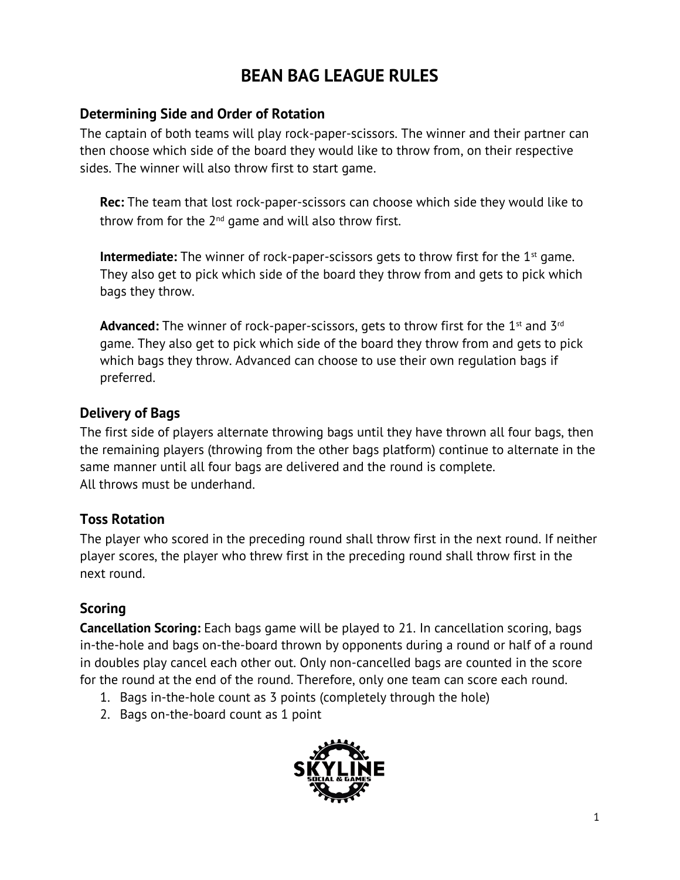# **BEAN BAG LEAGUE RULES**

### **Determining Side and Order of Rotation**

The captain of both teams will play rock-paper-scissors. The winner and their partner can then choose which side of the board they would like to throw from, on their respective sides. The winner will also throw first to start game.

**Rec:** The team that lost rock-paper-scissors can choose which side they would like to throw from for the  $2<sup>nd</sup>$  game and will also throw first.

**Intermediate:** The winner of rock-paper-scissors gets to throw first for the 1<sup>st</sup> game. They also get to pick which side of the board they throw from and gets to pick which bags they throw.

**Advanced:** The winner of rock-paper-scissors, gets to throw first for the 1<sup>st</sup> and 3<sup>rd</sup> game. They also get to pick which side of the board they throw from and gets to pick which bags they throw. Advanced can choose to use their own regulation bags if preferred.

# **Delivery of Bags**

The first side of players alternate throwing bags until they have thrown all four bags, then the remaining players (throwing from the other bags platform) continue to alternate in the same manner until all four bags are delivered and the round is complete. All throws must be underhand.

# **Toss Rotation**

The player who scored in the preceding round shall throw first in the next round. If neither player scores, the player who threw first in the preceding round shall throw first in the next round.

# **Scoring**

**Cancellation Scoring:** Each bags game will be played to 21. In cancellation scoring, bags in-the-hole and bags on-the-board thrown by opponents during a round or half of a round in doubles play cancel each other out. Only non-cancelled bags are counted in the score for the round at the end of the round. Therefore, only one team can score each round.

- 1. Bags in-the-hole count as 3 points (completely through the hole)
- 2. Bags on-the-board count as 1 point

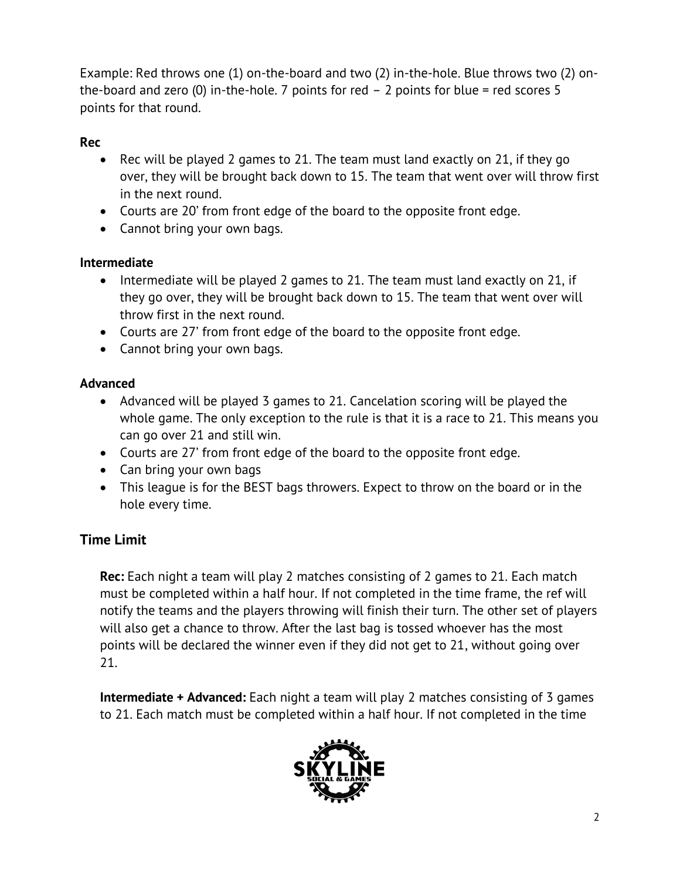Example: Red throws one (1) on-the-board and two (2) in-the-hole. Blue throws two (2) onthe-board and zero (0) in-the-hole. 7 points for red  $-2$  points for blue = red scores 5 points for that round.

#### **Rec**

- Rec will be played 2 games to 21. The team must land exactly on 21, if they go over, they will be brought back down to 15. The team that went over will throw first in the next round.
- Courts are 20' from front edge of the board to the opposite front edge.
- Cannot bring your own bags.

#### **Intermediate**

- Intermediate will be played 2 games to 21. The team must land exactly on 21, if they go over, they will be brought back down to 15. The team that went over will throw first in the next round.
- Courts are 27' from front edge of the board to the opposite front edge.
- Cannot bring your own bags.

#### **Advanced**

- Advanced will be played 3 games to 21. Cancelation scoring will be played the whole game. The only exception to the rule is that it is a race to 21. This means you can go over 21 and still win.
- Courts are 27' from front edge of the board to the opposite front edge.
- Can bring your own bags
- This league is for the BEST bags throwers. Expect to throw on the board or in the hole every time.

# **Time Limit**

**Rec:** Each night a team will play 2 matches consisting of 2 games to 21. Each match must be completed within a half hour. If not completed in the time frame, the ref will notify the teams and the players throwing will finish their turn. The other set of players will also get a chance to throw. After the last bag is tossed whoever has the most points will be declared the winner even if they did not get to 21, without going over 21.

**Intermediate + Advanced:** Each night a team will play 2 matches consisting of 3 games to 21. Each match must be completed within a half hour. If not completed in the time

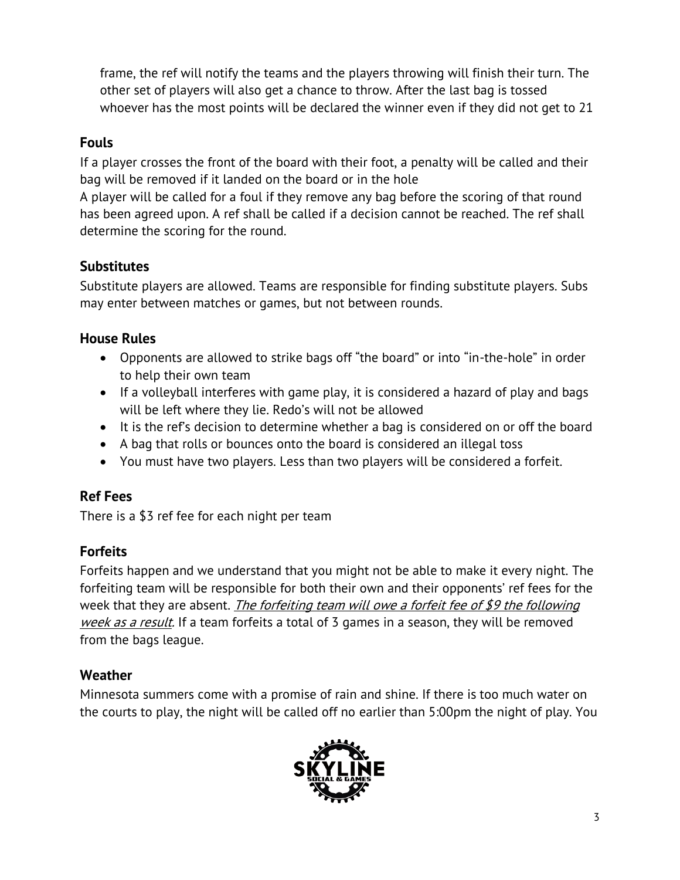frame, the ref will notify the teams and the players throwing will finish their turn. The other set of players will also get a chance to throw. After the last bag is tossed whoever has the most points will be declared the winner even if they did not get to 21

### **Fouls**

If a player crosses the front of the board with their foot, a penalty will be called and their bag will be removed if it landed on the board or in the hole

A player will be called for a foul if they remove any bag before the scoring of that round has been agreed upon. A ref shall be called if a decision cannot be reached. The ref shall determine the scoring for the round.

## **Substitutes**

Substitute players are allowed. Teams are responsible for finding substitute players. Subs may enter between matches or games, but not between rounds.

## **House Rules**

- Opponents are allowed to strike bags off "the board" or into "in-the-hole" in order to help their own team
- If a volleyball interferes with game play, it is considered a hazard of play and bags will be left where they lie. Redo's will not be allowed
- It is the ref's decision to determine whether a bag is considered on or off the board
- A bag that rolls or bounces onto the board is considered an illegal toss
- You must have two players. Less than two players will be considered a forfeit.

# **Ref Fees**

There is a \$3 ref fee for each night per team

# **Forfeits**

Forfeits happen and we understand that you might not be able to make it every night. The forfeiting team will be responsible for both their own and their opponents' ref fees for the week that they are absent. The forfeiting team will owe a forfeit fee of \$9 the following week as a result. If a team forfeits a total of 3 games in a season, they will be removed from the bags league.

#### **Weather**

Minnesota summers come with a promise of rain and shine. If there is too much water on the courts to play, the night will be called off no earlier than 5:00pm the night of play. You